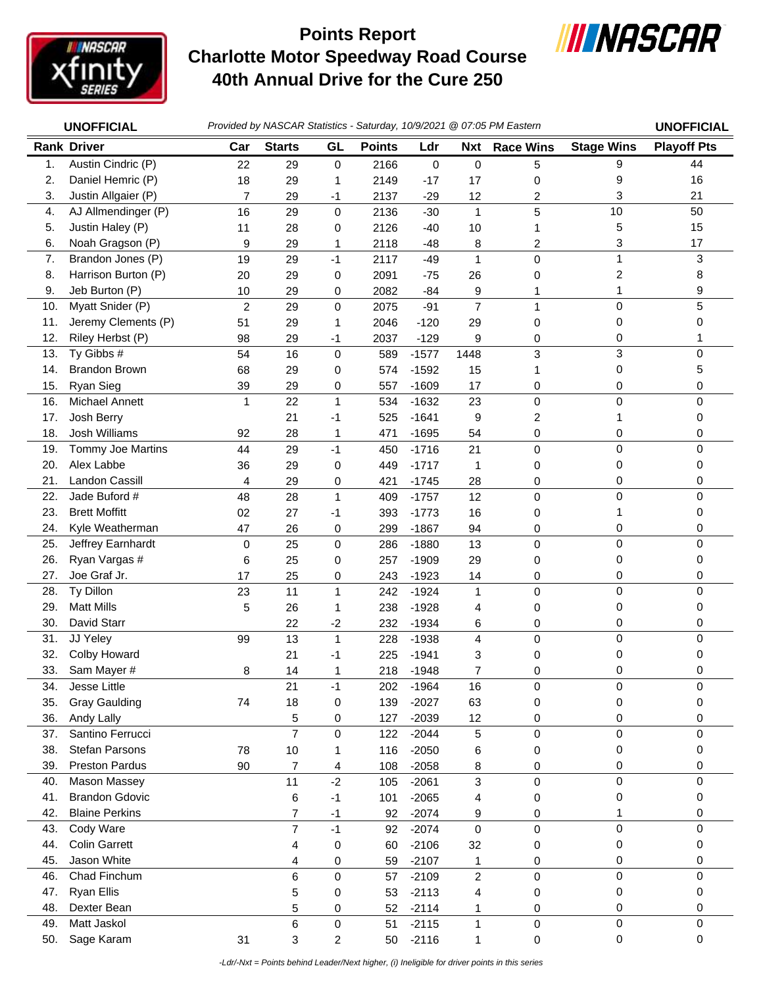

## **Charlotte Motor Speedway Road Course 40th Annual Drive for the Cure 250 Points Report**



|     | Provided by NASCAR Statistics - Saturday, 10/9/2021 @ 07:05 PM Eastern<br><b>UNOFFICIAL</b> |                |                |                |               | <b>UNOFFICIAL</b> |                |                  |                   |                    |
|-----|---------------------------------------------------------------------------------------------|----------------|----------------|----------------|---------------|-------------------|----------------|------------------|-------------------|--------------------|
|     | <b>Rank Driver</b>                                                                          | Car            | <b>Starts</b>  | GL             | <b>Points</b> | Ldr               | <b>Nxt</b>     | <b>Race Wins</b> | <b>Stage Wins</b> | <b>Playoff Pts</b> |
| 1.  | Austin Cindric (P)                                                                          | 22             | 29             | $\mathbf 0$    | 2166          | 0                 | $\mathbf 0$    | 5                | 9                 | 44                 |
| 2.  | Daniel Hemric (P)                                                                           | 18             | 29             | 1              | 2149          | $-17$             | 17             | 0                | 9                 | 16                 |
| 3.  | Justin Allgaier (P)                                                                         | $\overline{7}$ | 29             | $-1$           | 2137          | $-29$             | 12             | 2                | 3                 | 21                 |
| 4.  | AJ Allmendinger (P)                                                                         | 16             | 29             | 0              | 2136          | $-30$             | $\mathbf{1}$   | 5                | 10                | 50                 |
| 5.  | Justin Haley (P)                                                                            | 11             | 28             | 0              | 2126          | $-40$             | 10             | 1                | 5                 | 15                 |
| 6.  | Noah Gragson (P)                                                                            | 9              | 29             | 1              | 2118          | $-48$             | 8              | 2                | 3                 | 17                 |
| 7.  | Brandon Jones (P)                                                                           | 19             | 29             | $-1$           | 2117          | $-49$             | $\mathbf{1}$   | $\mathbf 0$      | $\mathbf{1}$      | 3                  |
| 8.  | Harrison Burton (P)                                                                         | 20             | 29             | 0              | 2091          | $-75$             | 26             | 0                | 2                 | 8                  |
| 9.  | Jeb Burton (P)                                                                              | 10             | 29             | 0              | 2082          | $-84$             | 9              | 1                | 1                 | 9                  |
| 10. | Myatt Snider (P)                                                                            | $\overline{c}$ | 29             | $\mathbf 0$    | 2075          | $-91$             | $\overline{7}$ | 1                | $\mathbf 0$       | 5                  |
| 11. | Jeremy Clements (P)                                                                         | 51             | 29             | 1              | 2046          | $-120$            | 29             | 0                | 0                 | 0                  |
| 12. | Riley Herbst (P)                                                                            | 98             | 29             | $-1$           | 2037          | $-129$            | 9              | 0                | 0                 |                    |
| 13. | Ty Gibbs #                                                                                  | 54             | 16             | $\pmb{0}$      | 589           | $-1577$           | 1448           | 3                | $\mathbf{3}$      | 0                  |
| 14. | <b>Brandon Brown</b>                                                                        | 68             | 29             | 0              | 574           | $-1592$           | 15             |                  | $\pmb{0}$         | 5                  |
| 15. | Ryan Sieg                                                                                   | 39             | 29             | 0              | 557           | $-1609$           | 17             | 0                | 0                 | 0                  |
| 16. | Michael Annett                                                                              | $\mathbf{1}$   | 22             | $\mathbf{1}$   | 534           | $-1632$           | 23             | $\mathbf 0$      | 0                 | $\mathbf 0$        |
| 17. | Josh Berry                                                                                  |                | 21             | $-1$           | 525           | $-1641$           | 9              | 2                | 1                 | 0                  |
| 18. | Josh Williams                                                                               | 92             | 28             | 1              | 471           | $-1695$           | 54             | 0                | 0                 | 0                  |
| 19. | Tommy Joe Martins                                                                           | 44             | 29             | $-1$           | 450           | $-1716$           | 21             | $\mathbf 0$      | $\mathbf 0$       | $\Omega$           |
| 20. | Alex Labbe                                                                                  | 36             | 29             | 0              | 449           | $-1717$           | 1              | 0                | 0                 | 0                  |
| 21. | <b>Landon Cassill</b>                                                                       | 4              | 29             | 0              | 421           | $-1745$           | 28             | 0                | 0                 | 0                  |
| 22. | Jade Buford #                                                                               | 48             | 28             | $\mathbf{1}$   | 409           | $-1757$           | 12             | $\mathbf 0$      | 0                 | $\mathbf 0$        |
| 23. | <b>Brett Moffitt</b>                                                                        | 02             | 27             | $-1$           | 393           | $-1773$           | 16             | 0                | 1                 | 0                  |
| 24. | Kyle Weatherman                                                                             | 47             | 26             | 0              | 299           | $-1867$           | 94             | 0                | 0                 | 0                  |
| 25. | Jeffrey Earnhardt                                                                           | 0              | 25             | 0              | 286           | $-1880$           | 13             | $\mathbf 0$      | $\mathbf 0$       | 0                  |
| 26. | Ryan Vargas #                                                                               | 6              | 25             | 0              | 257           | $-1909$           | 29             | 0                | 0                 | 0                  |
| 27. | Joe Graf Jr.                                                                                | 17             | 25             | 0              | 243           | $-1923$           | 14             | 0                | 0                 | 0                  |
| 28. | Ty Dillon                                                                                   | 23             | 11             | $\mathbf{1}$   | 242           | $-1924$           | $\mathbf{1}$   | 0                | $\mathbf 0$       | $\Omega$           |
| 29. | <b>Matt Mills</b>                                                                           | 5              | 26             | 1              | 238           | $-1928$           | 4              | 0                | 0                 | 0                  |
| 30. | David Starr                                                                                 |                | 22             | $-2$           | 232           | $-1934$           | 6              | 0                | 0                 | 0                  |
| 31. | JJ Yeley                                                                                    | 99             | 13             | $\mathbf{1}$   | 228           | $-1938$           | 4              | $\pmb{0}$        | 0                 | 0                  |
| 32. | Colby Howard                                                                                |                | 21             | $-1$           | 225           | $-1941$           | 3              | 0                | 0                 | 0                  |
| 33. | Sam Mayer #                                                                                 | 8              | 14             | 1              | 218           | $-1948$           | 7              | 0                | 0                 | 0                  |
| 34. | Jesse Little                                                                                |                | 21             | $-1$           | 202           | $-1964$           | 16             | $\pmb{0}$        | 0                 | 0                  |
| 35. | <b>Gray Gaulding</b>                                                                        | 74             | 18             | 0              | 139           | $-2027$           | 63             | 0                | 0                 | 0                  |
| 36. | Andy Lally                                                                                  |                | 5              | 0              | 127           | $-2039$           | 12             | 0                | 0                 | 0                  |
| 37. | Santino Ferrucci                                                                            |                | $\overline{7}$ | 0              | 122           | $-2044$           | 5              | $\pmb{0}$        | $\mathbf 0$       | 0                  |
| 38. | <b>Stefan Parsons</b>                                                                       | 78             | 10             | 1              | 116           | $-2050$           | 6              | 0                | 0                 | 0                  |
| 39. | <b>Preston Pardus</b>                                                                       | 90             | 7              | 4              | 108           | $-2058$           | 8              | 0                | 0                 | 0                  |
| 40. | Mason Massey                                                                                |                | 11             | $-2$           | 105           | $-2061$           | 3              | $\pmb{0}$        | $\pmb{0}$         | $\mathbf 0$        |
| 41. | <b>Brandon Gdovic</b>                                                                       |                | 6              | $-1$           | 101           | $-2065$           | 4              | 0                | 0                 | 0                  |
| 42. | <b>Blaine Perkins</b>                                                                       |                | 7              | $-1$           | 92            | $-2074$           | 9              | 0                | 1                 | 0                  |
| 43. | Cody Ware                                                                                   |                | $\overline{7}$ | $-1$           | 92            | $-2074$           | $\pmb{0}$      | $\pmb{0}$        | $\pmb{0}$         | $\mathbf 0$        |
| 44. | <b>Colin Garrett</b>                                                                        |                | 4              | 0              | 60            | $-2106$           | 32             | 0                | 0                 | 0                  |
| 45. | Jason White                                                                                 |                | 4              | 0              | 59            | $-2107$           | 1              | 0                | 0                 | 0                  |
| 46. | Chad Finchum                                                                                |                | 6              | $\mathbf 0$    | 57            | $-2109$           | 2              | $\pmb{0}$        | 0                 | $\mathbf 0$        |
| 47. | <b>Ryan Ellis</b>                                                                           |                | 5              | 0              | 53            | $-2113$           | 4              | 0                | 0                 | 0                  |
| 48. | Dexter Bean                                                                                 |                | 5              | 0              | 52            | $-2114$           | 1              | 0                | 0                 | 0                  |
| 49. | Matt Jaskol                                                                                 |                | 6              | $\pmb{0}$      | 51            | $-2115$           | 1              | $\pmb{0}$        | $\pmb{0}$         | $\mathbf 0$        |
| 50. | Sage Karam                                                                                  | 31             | 3              | $\overline{c}$ | 50            | $-2116$           | 1              | 0                | $\pmb{0}$         | 0                  |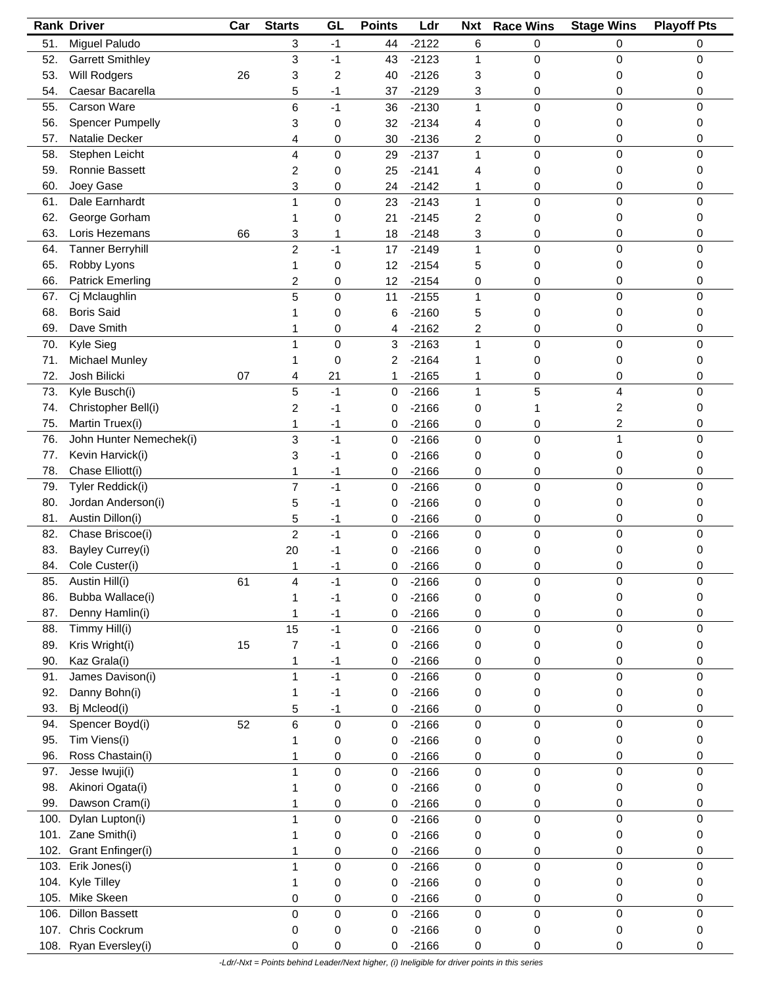|      | <b>Rank Driver</b>      | Car | <b>Starts</b>  | GL          | <b>Points</b> | Ldr     | <b>Nxt</b>   | <b>Race Wins</b> | <b>Stage Wins</b> | <b>Playoff Pts</b> |
|------|-------------------------|-----|----------------|-------------|---------------|---------|--------------|------------------|-------------------|--------------------|
| 51.  | Miguel Paludo           |     | 3              | $-1$        | 44            | $-2122$ | 6            | 0                | 0                 | 0                  |
| 52.  | <b>Garrett Smithley</b> |     | 3              | $-1$        | 43            | $-2123$ | 1            | 0                | 0                 | 0                  |
| 53.  | Will Rodgers            | 26  | 3              | 2           | 40            | $-2126$ | 3            | 0                | 0                 | 0                  |
| 54.  | Caesar Bacarella        |     | 5              | -1          | 37            | $-2129$ | 3            | 0                | 0                 | 0                  |
| 55.  | Carson Ware             |     | 6              | $-1$        | 36            | $-2130$ | 1            | 0                | 0                 | 0                  |
| 56.  | <b>Spencer Pumpelly</b> |     | 3              | 0           | 32            | $-2134$ | 4            | 0                | 0                 | 0                  |
| 57.  | Natalie Decker          |     |                |             |               | $-2136$ |              |                  | 0                 | 0                  |
|      |                         |     | 4              | 0           | 30            |         | 2            | 0                | 0                 | 0                  |
| 58.  | Stephen Leicht          |     | 4              | 0           | 29            | $-2137$ | $\mathbf{1}$ | 0                |                   |                    |
| 59.  | Ronnie Bassett          |     | 2              | 0           | 25            | $-2141$ | 4            | 0                | 0                 | 0                  |
| 60.  | Joey Gase               |     | 3              | 0           | 24            | $-2142$ | 1            | 0                | 0                 | 0                  |
| 61.  | Dale Earnhardt          |     | 1              | 0           | 23            | $-2143$ | $\mathbf{1}$ | 0                | 0                 | 0                  |
| 62.  | George Gorham           |     | 1              | 0           | 21            | $-2145$ | 2            | 0                | 0                 | 0                  |
| 63.  | Loris Hezemans          | 66  | 3              | 1           | 18            | $-2148$ | 3            | 0                | 0                 | 0                  |
| 64.  | <b>Tanner Berryhill</b> |     | $\overline{c}$ | $-1$        | 17            | $-2149$ | 1            | 0                | 0                 | 0                  |
| 65.  | Robby Lyons             |     | 1              | 0           | 12            | $-2154$ | 5            | 0                | 0                 | 0                  |
| 66.  | <b>Patrick Emerling</b> |     | 2              | 0           | 12            | $-2154$ | 0            | 0                | 0                 | 0                  |
| 67.  | Cj Mclaughlin           |     | 5              | 0           | 11            | $-2155$ | 1            | 0                | 0                 | 0                  |
| 68.  | <b>Boris Said</b>       |     |                | 0           | 6             | $-2160$ | 5            | 0                | 0                 | 0                  |
| 69.  | Dave Smith              |     |                | 0           | 4             | $-2162$ | 2            | 0                | 0                 | 0                  |
| 70.  | Kyle Sieg               |     | 1              | 0           | 3             | $-2163$ | $\mathbf{1}$ | 0                | 0                 | 0                  |
|      | <b>Michael Munley</b>   |     |                |             |               |         |              |                  |                   |                    |
| 71.  |                         |     | 1              | 0           | 2             | $-2164$ | 1            | 0                | 0                 | 0                  |
| 72.  | Josh Bilicki            | 07  | 4              | 21          | 1             | $-2165$ | 1            | 0                | 0                 | 0                  |
| 73.  | Kyle Busch(i)           |     | 5              | $-1$        | 0             | $-2166$ | 1            | 5                | 4                 | 0                  |
| 74.  | Christopher Bell(i)     |     | 2              | $-1$        | 0             | $-2166$ | 0            | 1                | 2                 | 0                  |
| 75.  | Martin Truex(i)         |     | 1              | $-1$        | 0             | $-2166$ | 0            | 0                | 2                 | 0                  |
| 76.  | John Hunter Nemechek(i) |     | 3              | $-1$        | 0             | $-2166$ | 0            | 0                | 1                 | 0                  |
| 77.  | Kevin Harvick(i)        |     | 3              | -1          | 0             | $-2166$ | 0            | 0                | 0                 | 0                  |
| 78.  | Chase Elliott(i)        |     | 1              | $-1$        | 0             | $-2166$ | 0            | 0                | 0                 | 0                  |
| 79.  | Tyler Reddick(i)        |     | 7              | $-1$        | 0             | $-2166$ | 0            | 0                | 0                 | 0                  |
| 80.  | Jordan Anderson(i)      |     | 5              | -1          | 0             | $-2166$ | 0            | 0                | 0                 | 0                  |
| 81.  | Austin Dillon(i)        |     | 5              | $-1$        | 0             | $-2166$ | 0            | 0                | 0                 | 0                  |
| 82.  | Chase Briscoe(i)        |     | $\overline{c}$ | $-1$        | 0             | $-2166$ | 0            | 0                | 0                 | 0                  |
| 83.  | Bayley Currey(i)        |     | 20             | -1          | 0             | $-2166$ | 0            | 0                | 0                 | 0                  |
|      | Cole Custer(i)          |     |                |             |               |         |              |                  |                   |                    |
| 84.  |                         |     | 1              | -1          | 0             | $-2166$ | 0            | 0                | 0                 | 0                  |
| 85.  | Austin Hill(i)          | 61  |                | $-1$        | 0             | $-2166$ | $\pmb{0}$    | 0                | 0                 |                    |
| 86.  | Bubba Wallace(i)        |     |                | -1          | 0             | $-2166$ | 0            | 0                | 0                 | 0                  |
| 87.  | Denny Hamlin(i)         |     |                | $-1$        | 0             | $-2166$ | 0            | 0                | 0                 | 0                  |
| 88.  | Timmy Hill(i)           |     | 15             | $-1$        | 0             | $-2166$ | $\pmb{0}$    | 0                | 0                 | 0                  |
| 89.  | Kris Wright(i)          | 15  | 7              | $-1$        | 0             | $-2166$ | 0            | 0                | 0                 | 0                  |
| 90.  | Kaz Grala(i)            |     | 1              | $-1$        | 0             | $-2166$ | 0            | 0                | 0                 | 0                  |
| 91.  | James Davison(i)        |     | 1              | $-1$        | 0             | $-2166$ | 0            | 0                | 0                 | 0                  |
| 92.  | Danny Bohn(i)           |     | 1              | $-1$        | 0             | $-2166$ | 0            | 0                | 0                 | 0                  |
| 93.  | Bj Mcleod(i)            |     | 5              | $-1$        | 0             | $-2166$ | 0            | 0                | 0                 | 0                  |
| 94.  | Spencer Boyd(i)         | 52  | 6              | $\mathbf 0$ | 0             | $-2166$ | 0            | 0                | 0                 | 0                  |
| 95.  | Tim Viens(i)            |     |                | 0           | 0             | $-2166$ | 0            | 0                | 0                 | 0                  |
| 96.  | Ross Chastain(i)        |     |                |             |               | $-2166$ |              |                  | 0                 | 0                  |
|      |                         |     | 1              | 0           | 0             |         | 0            | 0                |                   |                    |
| 97.  | Jesse Iwuji(i)          |     | 1              | 0           | 0             | $-2166$ | 0            | 0                | 0                 | 0                  |
| 98.  | Akinori Ogata(i)        |     | 1              | 0           | 0             | $-2166$ | 0            | 0                | 0                 | 0                  |
| 99.  | Dawson Cram(i)          |     | 1              | 0           | 0             | $-2166$ | 0            | 0                | 0                 | 0                  |
| 100. | Dylan Lupton(i)         |     | 1              | 0           | 0             | $-2166$ | 0            | 0                | 0                 | 0                  |
|      | 101. Zane Smith(i)      |     |                | 0           | 0             | $-2166$ | 0            | 0                | 0                 | 0                  |
|      | 102. Grant Enfinger(i)  |     | 1              | 0           | 0             | $-2166$ | 0            | 0                | 0                 | 0                  |
| 103. | Erik Jones(i)           |     | 1              | 0           | 0             | $-2166$ | $\mathbf 0$  | 0                | 0                 | 0                  |
| 104. | Kyle Tilley             |     | 1              | 0           | 0             | $-2166$ | 0            | 0                | 0                 | 0                  |
| 105. | Mike Skeen              |     | 0              | 0           | 0             | $-2166$ | 0            | 0                | 0                 | 0                  |
| 106. | <b>Dillon Bassett</b>   |     | 0              | 0           | 0             | $-2166$ | $\pmb{0}$    | 0                | 0                 | 0                  |
| 107. | Chris Cockrum           |     | 0              | 0           | 0             | $-2166$ | 0            | 0                | 0                 | 0                  |
| 108. | Ryan Eversley(i)        |     | 0              | 0           | 0             | $-2166$ | 0            | 0                | 0                 | 0                  |
|      |                         |     |                |             |               |         |              |                  |                   |                    |